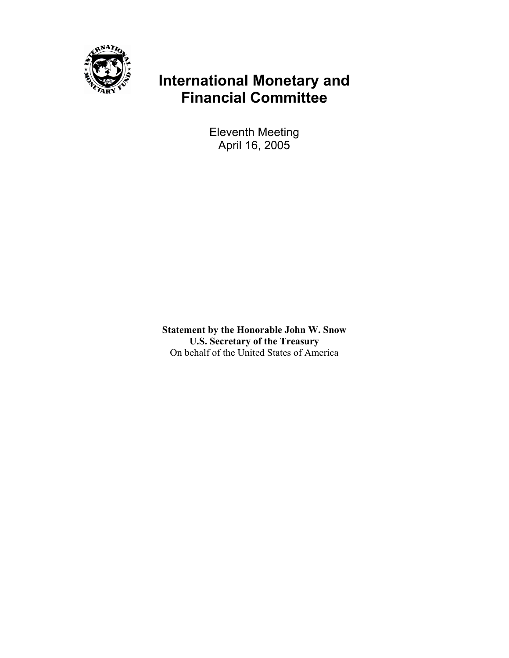

# **International Monetary and Financial Committee**

Eleventh Meeting April 16, 2005

**Statement by the Honorable John W. Snow U.S. Secretary of the Treasury**  On behalf of the United States of America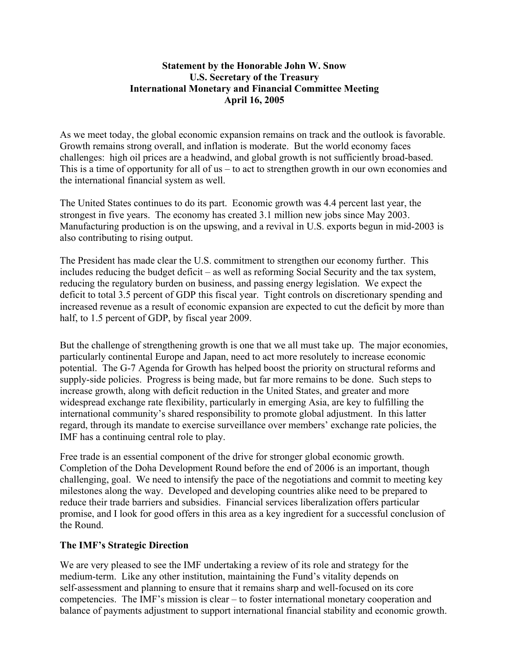### **Statement by the Honorable John W. Snow U.S. Secretary of the Treasury International Monetary and Financial Committee Meeting April 16, 2005**

As we meet today, the global economic expansion remains on track and the outlook is favorable. Growth remains strong overall, and inflation is moderate. But the world economy faces challenges: high oil prices are a headwind, and global growth is not sufficiently broad-based. This is a time of opportunity for all of us – to act to strengthen growth in our own economies and the international financial system as well.

The United States continues to do its part. Economic growth was 4.4 percent last year, the strongest in five years. The economy has created 3.1 million new jobs since May 2003. Manufacturing production is on the upswing, and a revival in U.S. exports begun in mid-2003 is also contributing to rising output.

The President has made clear the U.S. commitment to strengthen our economy further. This includes reducing the budget deficit – as well as reforming Social Security and the tax system, reducing the regulatory burden on business, and passing energy legislation. We expect the deficit to total 3.5 percent of GDP this fiscal year. Tight controls on discretionary spending and increased revenue as a result of economic expansion are expected to cut the deficit by more than half, to 1.5 percent of GDP, by fiscal year 2009.

But the challenge of strengthening growth is one that we all must take up. The major economies, particularly continental Europe and Japan, need to act more resolutely to increase economic potential. The G-7 Agenda for Growth has helped boost the priority on structural reforms and supply-side policies. Progress is being made, but far more remains to be done. Such steps to increase growth, along with deficit reduction in the United States, and greater and more widespread exchange rate flexibility, particularly in emerging Asia, are key to fulfilling the international community's shared responsibility to promote global adjustment. In this latter regard, through its mandate to exercise surveillance over members' exchange rate policies, the IMF has a continuing central role to play.

Free trade is an essential component of the drive for stronger global economic growth. Completion of the Doha Development Round before the end of 2006 is an important, though challenging, goal. We need to intensify the pace of the negotiations and commit to meeting key milestones along the way. Developed and developing countries alike need to be prepared to reduce their trade barriers and subsidies. Financial services liberalization offers particular promise, and I look for good offers in this area as a key ingredient for a successful conclusion of the Round.

## **The IMF's Strategic Direction**

We are very pleased to see the IMF undertaking a review of its role and strategy for the medium-term. Like any other institution, maintaining the Fund's vitality depends on self-assessment and planning to ensure that it remains sharp and well-focused on its core competencies. The IMF's mission is clear – to foster international monetary cooperation and balance of payments adjustment to support international financial stability and economic growth.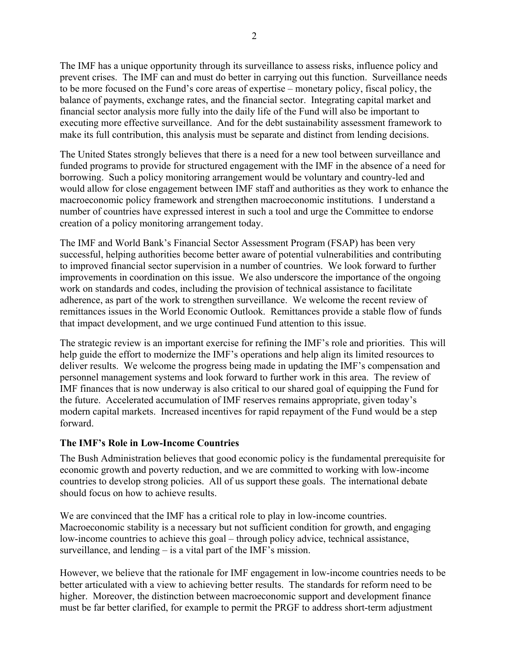The IMF has a unique opportunity through its surveillance to assess risks, influence policy and prevent crises. The IMF can and must do better in carrying out this function. Surveillance needs to be more focused on the Fund's core areas of expertise – monetary policy, fiscal policy, the balance of payments, exchange rates, and the financial sector. Integrating capital market and financial sector analysis more fully into the daily life of the Fund will also be important to executing more effective surveillance. And for the debt sustainability assessment framework to make its full contribution, this analysis must be separate and distinct from lending decisions.

The United States strongly believes that there is a need for a new tool between surveillance and funded programs to provide for structured engagement with the IMF in the absence of a need for borrowing. Such a policy monitoring arrangement would be voluntary and country-led and would allow for close engagement between IMF staff and authorities as they work to enhance the macroeconomic policy framework and strengthen macroeconomic institutions. I understand a number of countries have expressed interest in such a tool and urge the Committee to endorse creation of a policy monitoring arrangement today.

The IMF and World Bank's Financial Sector Assessment Program (FSAP) has been very successful, helping authorities become better aware of potential vulnerabilities and contributing to improved financial sector supervision in a number of countries. We look forward to further improvements in coordination on this issue. We also underscore the importance of the ongoing work on standards and codes, including the provision of technical assistance to facilitate adherence, as part of the work to strengthen surveillance. We welcome the recent review of remittances issues in the World Economic Outlook. Remittances provide a stable flow of funds that impact development, and we urge continued Fund attention to this issue.

The strategic review is an important exercise for refining the IMF's role and priorities. This will help guide the effort to modernize the IMF's operations and help align its limited resources to deliver results. We welcome the progress being made in updating the IMF's compensation and personnel management systems and look forward to further work in this area. The review of IMF finances that is now underway is also critical to our shared goal of equipping the Fund for the future. Accelerated accumulation of IMF reserves remains appropriate, given today's modern capital markets. Increased incentives for rapid repayment of the Fund would be a step forward.

## **The IMF's Role in Low-Income Countries**

The Bush Administration believes that good economic policy is the fundamental prerequisite for economic growth and poverty reduction, and we are committed to working with low-income countries to develop strong policies. All of us support these goals. The international debate should focus on how to achieve results.

We are convinced that the IMF has a critical role to play in low-income countries. Macroeconomic stability is a necessary but not sufficient condition for growth, and engaging low-income countries to achieve this goal – through policy advice, technical assistance, surveillance, and lending – is a vital part of the IMF's mission.

However, we believe that the rationale for IMF engagement in low-income countries needs to be better articulated with a view to achieving better results. The standards for reform need to be higher. Moreover, the distinction between macroeconomic support and development finance must be far better clarified, for example to permit the PRGF to address short-term adjustment